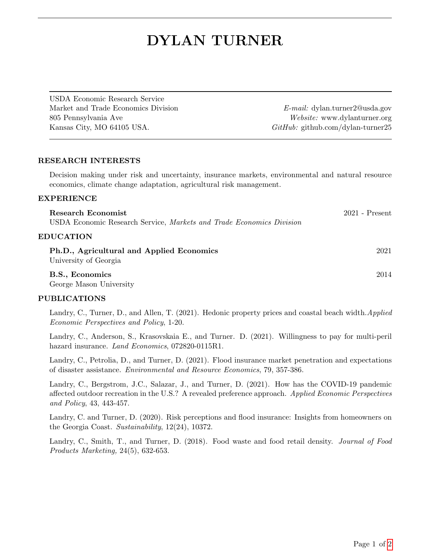# DYLAN TURNER

USDA Economic Research Service Market and Trade Economics Division E-mail: dylan.turner2@usda.gov 805 Pennsylvania Ave Website: www.dylanturner.org Kansas City, MO 64105 USA. Github.com/dylan-turner25

## RESEARCH INTERESTS

Decision making under risk and uncertainty, insurance markets, environmental and natural resource economics, climate change adaptation, agricultural risk management.

#### EXPERIENCE

| Research Economist                                                   | $2021$ - Present |
|----------------------------------------------------------------------|------------------|
| USDA Economic Research Service, Markets and Trade Economics Division |                  |
| <b>EDUCATION</b>                                                     |                  |
| Ph.D., Agricultural and Applied Economics<br>University of Georgia   | 2021             |
| B.S., Economics<br>George Mason University                           | 2014             |

#### PUBLICATIONS

Landry, C., Turner, D., and Allen, T. (2021). Hedonic property prices and coastal beach width. Applied Economic Perspectives and Policy, 1-20.

Landry, C., Anderson, S., Krasovskaia E., and Turner. D. (2021). Willingness to pay for multi-peril hazard insurance. *Land Economics*, 072820-0115R1.

Landry, C., Petrolia, D., and Turner, D. (2021). Flood insurance market penetration and expectations of disaster assistance. Environmental and Resource Economics, 79, 357-386.

Landry, C., Bergstrom, J.C., Salazar, J., and Turner, D. (2021). How has the COVID-19 pandemic affected outdoor recreation in the U.S.? A revealed preference approach. Applied Economic Perspectives and Policy, 43, 443-457.

Landry, C. and Turner, D. (2020). Risk perceptions and flood insurance: Insights from homeowners on the Georgia Coast. Sustainability, 12(24), 10372.

Landry, C., Smith, T., and Turner, D. (2018). Food waste and food retail density. Journal of Food Products Marketing, 24(5), 632-653.